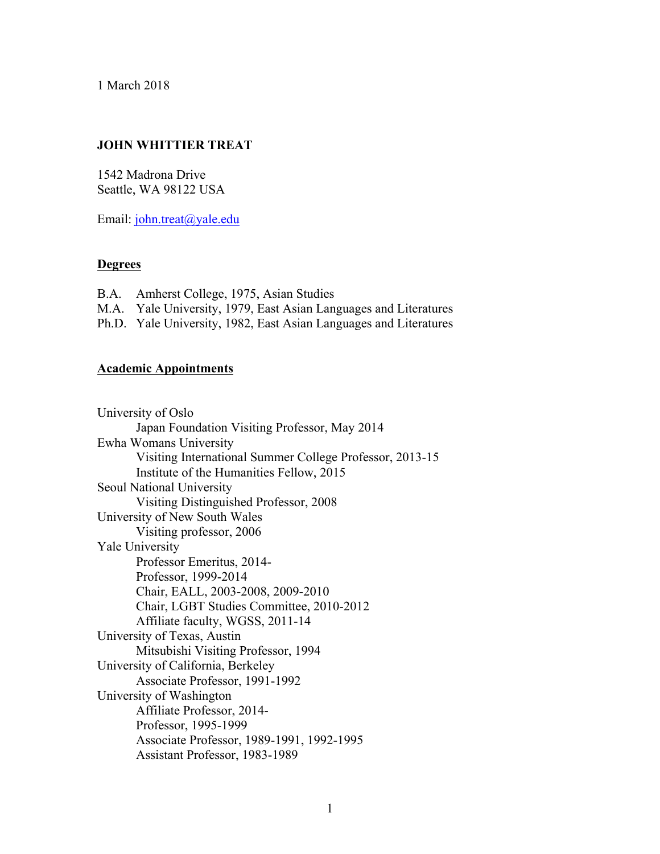1 March 2018

# **JOHN WHITTIER TREAT**

1542 Madrona Drive Seattle, WA 98122 USA

Email: john.treat@yale.edu

# **Degrees**

B.A. Amherst College, 1975, Asian Studies M.A. Yale University, 1979, East Asian Languages and Literatures Ph.D. Yale University, 1982, East Asian Languages and Literatures

## **Academic Appointments**

University of Oslo Japan Foundation Visiting Professor, May 2014 Ewha Womans University Visiting International Summer College Professor, 2013-15 Institute of the Humanities Fellow, 2015 Seoul National University Visiting Distinguished Professor, 2008 University of New South Wales Visiting professor, 2006 Yale University Professor Emeritus, 2014- Professor, 1999-2014 Chair, EALL, 2003-2008, 2009-2010 Chair, LGBT Studies Committee, 2010-2012 Affiliate faculty, WGSS, 2011-14 University of Texas, Austin Mitsubishi Visiting Professor, 1994 University of California, Berkeley Associate Professor, 1991-1992 University of Washington Affiliate Professor, 2014- Professor, 1995-1999 Associate Professor, 1989-1991, 1992-1995 Assistant Professor, 1983-1989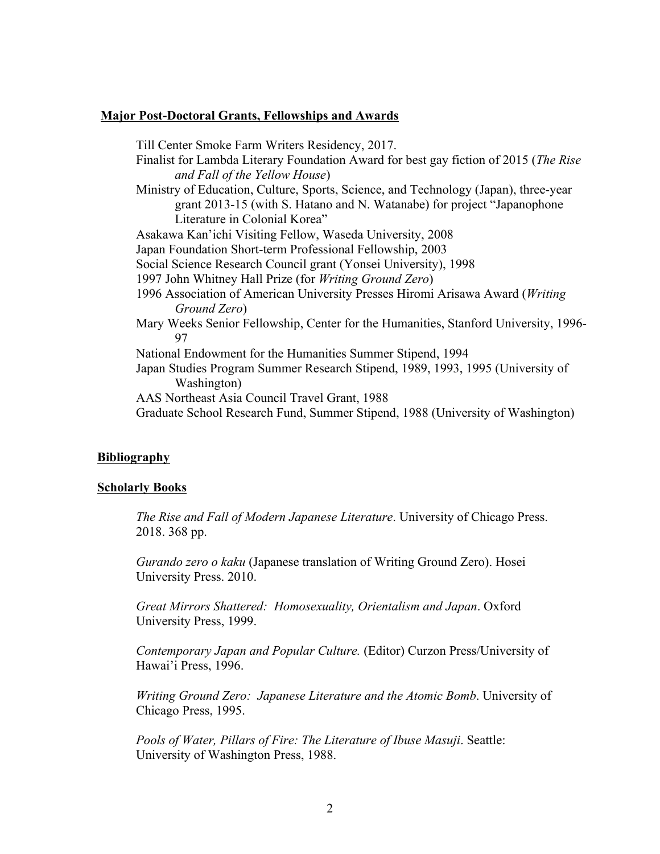#### **Major Post-Doctoral Grants, Fellowships and Awards**

Till Center Smoke Farm Writers Residency, 2017. Finalist for Lambda Literary Foundation Award for best gay fiction of 2015 (*The Rise and Fall of the Yellow House*) Ministry of Education, Culture, Sports, Science, and Technology (Japan), three-year grant 2013-15 (with S. Hatano and N. Watanabe) for project "Japanophone Literature in Colonial Korea" Asakawa Kan'ichi Visiting Fellow, Waseda University, 2008 Japan Foundation Short-term Professional Fellowship, 2003 Social Science Research Council grant (Yonsei University), 1998 1997 John Whitney Hall Prize (for *Writing Ground Zero*) 1996 Association of American University Presses Hiromi Arisawa Award (*Writing Ground Zero*) Mary Weeks Senior Fellowship, Center for the Humanities, Stanford University, 1996- 97 National Endowment for the Humanities Summer Stipend, 1994 Japan Studies Program Summer Research Stipend, 1989, 1993, 1995 (University of Washington) AAS Northeast Asia Council Travel Grant, 1988 Graduate School Research Fund, Summer Stipend, 1988 (University of Washington)

# **Bibliography**

#### **Scholarly Books**

*The Rise and Fall of Modern Japanese Literature*. University of Chicago Press. 2018. 368 pp.

*Gurando zero o kaku* (Japanese translation of Writing Ground Zero). Hosei University Press. 2010.

*Great Mirrors Shattered: Homosexuality, Orientalism and Japan*. Oxford University Press, 1999.

*Contemporary Japan and Popular Culture.* (Editor) Curzon Press/University of Hawai'i Press, 1996.

*Writing Ground Zero: Japanese Literature and the Atomic Bomb*. University of Chicago Press, 1995.

*Pools of Water, Pillars of Fire: The Literature of Ibuse Masuji*. Seattle: University of Washington Press, 1988.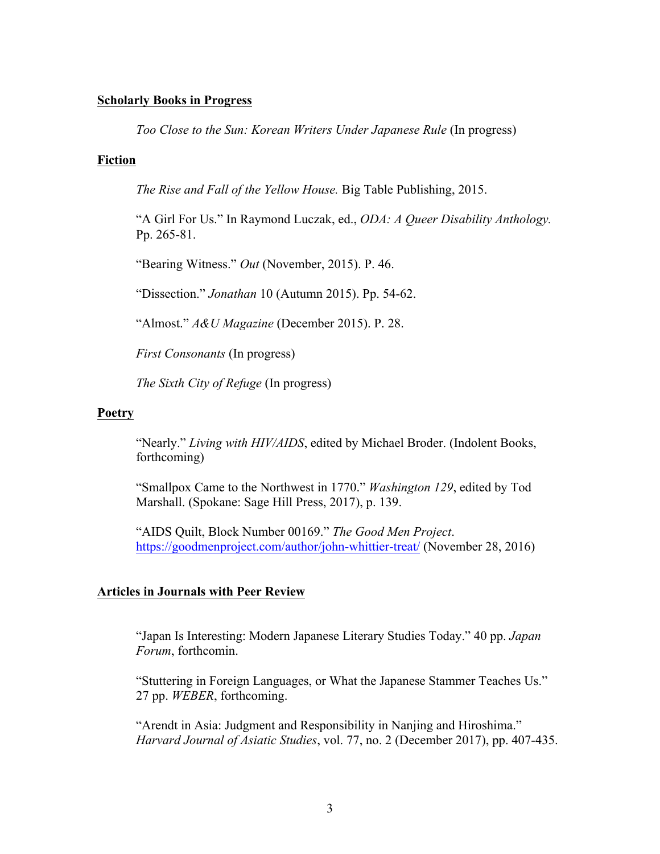## **Scholarly Books in Progress**

*Too Close to the Sun: Korean Writers Under Japanese Rule* (In progress)

## **Fiction**

*The Rise and Fall of the Yellow House.* Big Table Publishing, 2015.

"A Girl For Us." In Raymond Luczak, ed., *ODA: A Queer Disability Anthology.*  Pp. 265-81.

"Bearing Witness." *Out* (November, 2015). P. 46.

"Dissection." *Jonathan* 10 (Autumn 2015). Pp. 54-62.

"Almost." *A&U Magazine* (December 2015). P. 28.

*First Consonants* (In progress)

*The Sixth City of Refuge* (In progress)

## **Poetry**

"Nearly." *Living with HIV/AIDS*, edited by Michael Broder. (Indolent Books, forthcoming)

"Smallpox Came to the Northwest in 1770." *Washington 129*, edited by Tod Marshall. (Spokane: Sage Hill Press, 2017), p. 139.

"AIDS Quilt, Block Number 00169." *The Good Men Project*. https://goodmenproject.com/author/john-whittier-treat/ (November 28, 2016)

## **Articles in Journals with Peer Review**

"Japan Is Interesting: Modern Japanese Literary Studies Today." 40 pp. *Japan Forum*, forthcomin.

"Stuttering in Foreign Languages, or What the Japanese Stammer Teaches Us." 27 pp. *WEBER*, forthcoming.

"Arendt in Asia: Judgment and Responsibility in Nanjing and Hiroshima." *Harvard Journal of Asiatic Studies*, vol. 77, no. 2 (December 2017), pp. 407-435.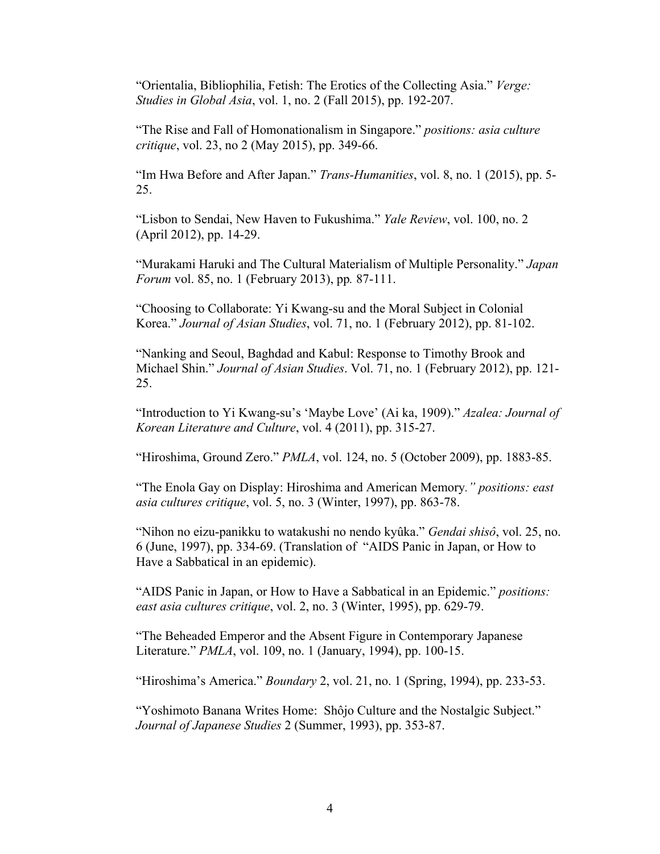"Orientalia, Bibliophilia, Fetish: The Erotics of the Collecting Asia." *Verge: Studies in Global Asia*, vol. 1, no. 2 (Fall 2015), pp. 192-207.

"The Rise and Fall of Homonationalism in Singapore." *positions: asia culture critique*, vol. 23, no 2 (May 2015), pp. 349-66.

"Im Hwa Before and After Japan." *Trans-Humanities*, vol. 8, no. 1 (2015), pp. 5- 25.

"Lisbon to Sendai, New Haven to Fukushima." *Yale Review*, vol. 100, no. 2 (April 2012), pp. 14-29.

"Murakami Haruki and The Cultural Materialism of Multiple Personality." *Japan Forum* vol. 85, no. 1 (February 2013), pp*.* 87-111.

"Choosing to Collaborate: Yi Kwang-su and the Moral Subject in Colonial Korea." *Journal of Asian Studies*, vol. 71, no. 1 (February 2012), pp. 81-102.

"Nanking and Seoul, Baghdad and Kabul: Response to Timothy Brook and Michael Shin." *Journal of Asian Studies*. Vol. 71, no. 1 (February 2012), pp. 121- 25.

"Introduction to Yi Kwang-su's 'Maybe Love' (Ai ka, 1909)." *Azalea: Journal of Korean Literature and Culture*, vol. 4 (2011), pp. 315-27.

"Hiroshima, Ground Zero." *PMLA*, vol. 124, no. 5 (October 2009), pp. 1883-85.

"The Enola Gay on Display: Hiroshima and American Memory*." positions: east asia cultures critique*, vol. 5, no. 3 (Winter, 1997), pp. 863-78.

"Nihon no eizu-panikku to watakushi no nendo kyûka." *Gendai shisô*, vol. 25, no. 6 (June, 1997), pp. 334-69. (Translation of "AIDS Panic in Japan, or How to Have a Sabbatical in an epidemic).

"AIDS Panic in Japan, or How to Have a Sabbatical in an Epidemic." *positions: east asia cultures critique*, vol. 2, no. 3 (Winter, 1995), pp. 629-79.

"The Beheaded Emperor and the Absent Figure in Contemporary Japanese Literature." *PMLA*, vol. 109, no. 1 (January, 1994), pp. 100-15.

"Hiroshima's America." *Boundary* 2, vol. 21, no. 1 (Spring, 1994), pp. 233-53.

"Yoshimoto Banana Writes Home: Shôjo Culture and the Nostalgic Subject." *Journal of Japanese Studies* 2 (Summer, 1993), pp. 353-87.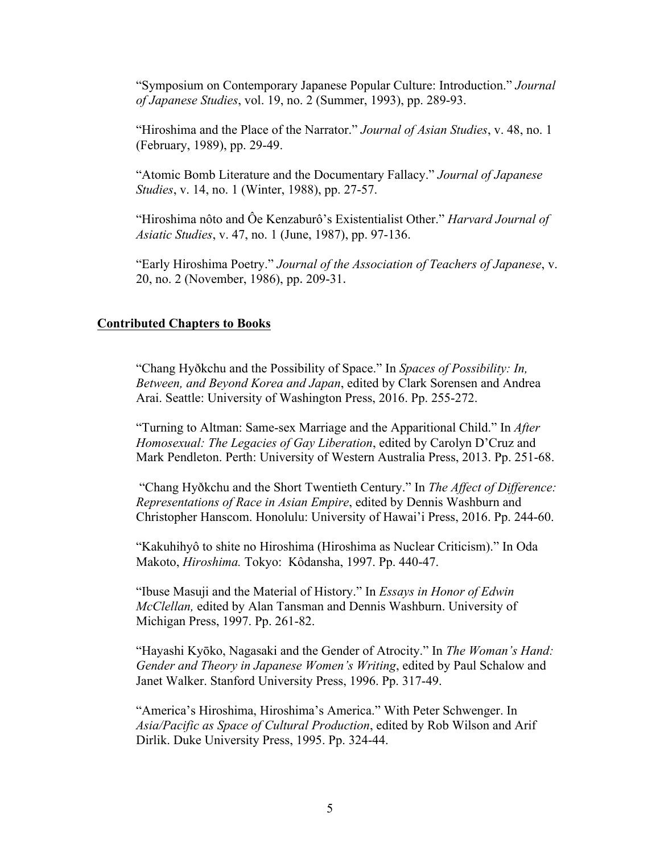"Symposium on Contemporary Japanese Popular Culture: Introduction." *Journal of Japanese Studies*, vol. 19, no. 2 (Summer, 1993), pp. 289-93.

"Hiroshima and the Place of the Narrator." *Journal of Asian Studies*, v. 48, no. 1 (February, 1989), pp. 29-49.

"Atomic Bomb Literature and the Documentary Fallacy." *Journal of Japanese Studies*, v. 14, no. 1 (Winter, 1988), pp. 27-57.

"Hiroshima nôto and Ôe Kenzaburô's Existentialist Other." *Harvard Journal of Asiatic Studies*, v. 47, no. 1 (June, 1987), pp. 97-136.

"Early Hiroshima Poetry." *Journal of the Association of Teachers of Japanese*, v. 20, no. 2 (November, 1986), pp. 209-31.

## **Contributed Chapters to Books**

"Chang Hyðkchu and the Possibility of Space." In *Spaces of Possibility: In, Between, and Beyond Korea and Japan*, edited by Clark Sorensen and Andrea Arai. Seattle: University of Washington Press, 2016. Pp. 255-272.

"Turning to Altman: Same-sex Marriage and the Apparitional Child." In *After Homosexual: The Legacies of Gay Liberation*, edited by Carolyn D'Cruz and Mark Pendleton. Perth: University of Western Australia Press, 2013. Pp. 251-68.

"Chang Hyðkchu and the Short Twentieth Century." In *The Affect of Difference: Representations of Race in Asian Empire*, edited by Dennis Washburn and Christopher Hanscom. Honolulu: University of Hawai'i Press, 2016. Pp. 244-60.

"Kakuhihyô to shite no Hiroshima (Hiroshima as Nuclear Criticism)." In Oda Makoto, *Hiroshima.* Tokyo: Kôdansha, 1997. Pp. 440-47.

"Ibuse Masuji and the Material of History." In *Essays in Honor of Edwin McClellan,* edited by Alan Tansman and Dennis Washburn. University of Michigan Press, 1997. Pp. 261-82.

"Hayashi Kyōko, Nagasaki and the Gender of Atrocity." In *The Woman's Hand: Gender and Theory in Japanese Women's Writing*, edited by Paul Schalow and Janet Walker. Stanford University Press, 1996. Pp. 317-49.

"America's Hiroshima, Hiroshima's America." With Peter Schwenger. In *Asia/Pacific as Space of Cultural Production*, edited by Rob Wilson and Arif Dirlik. Duke University Press, 1995. Pp. 324-44.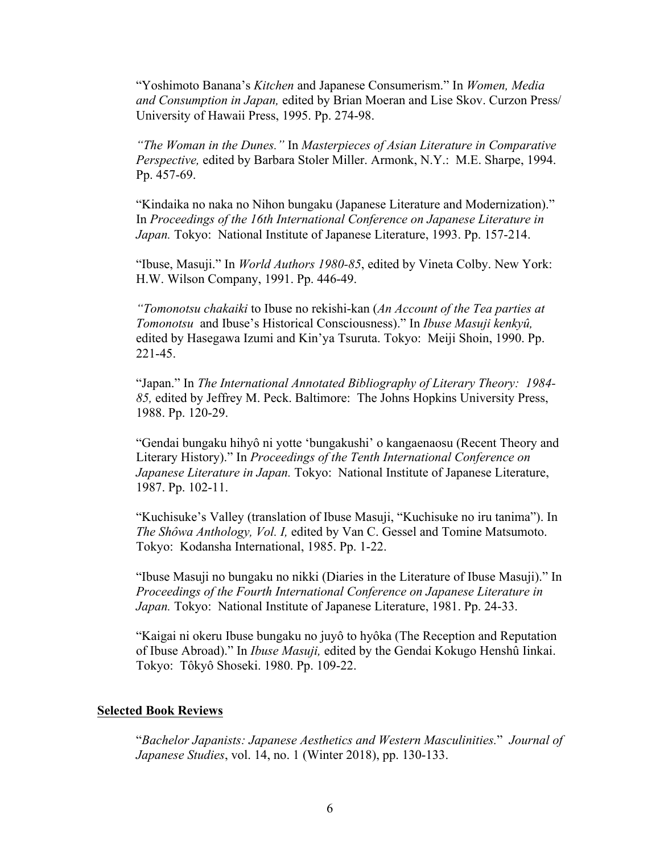"Yoshimoto Banana's *Kitchen* and Japanese Consumerism." In *Women, Media and Consumption in Japan,* edited by Brian Moeran and Lise Skov. Curzon Press/ University of Hawaii Press, 1995. Pp. 274-98.

*"The Woman in the Dunes."* In *Masterpieces of Asian Literature in Comparative Perspective,* edited by Barbara Stoler Miller. Armonk, N.Y.: M.E. Sharpe, 1994. Pp. 457-69.

"Kindaika no naka no Nihon bungaku (Japanese Literature and Modernization)." In *Proceedings of the 16th International Conference on Japanese Literature in Japan.* Tokyo: National Institute of Japanese Literature, 1993. Pp. 157-214.

"Ibuse, Masuji." In *World Authors 1980-85*, edited by Vineta Colby. New York: H.W. Wilson Company, 1991. Pp. 446-49.

*"Tomonotsu chakaiki* to Ibuse no rekishi-kan (*An Account of the Tea parties at Tomonotsu* and Ibuse's Historical Consciousness)." In *Ibuse Masuji kenkyû,*  edited by Hasegawa Izumi and Kin'ya Tsuruta. Tokyo: Meiji Shoin, 1990. Pp. 221-45.

"Japan." In *The International Annotated Bibliography of Literary Theory: 1984- 85,* edited by Jeffrey M. Peck. Baltimore: The Johns Hopkins University Press, 1988. Pp. 120-29.

"Gendai bungaku hihyô ni yotte 'bungakushi' o kangaenaosu (Recent Theory and Literary History)." In *Proceedings of the Tenth International Conference on Japanese Literature in Japan.* Tokyo: National Institute of Japanese Literature, 1987. Pp. 102-11.

"Kuchisuke's Valley (translation of Ibuse Masuji, "Kuchisuke no iru tanima"). In *The Shôwa Anthology, Vol. I,* edited by Van C. Gessel and Tomine Matsumoto. Tokyo: Kodansha International, 1985. Pp. 1-22.

"Ibuse Masuji no bungaku no nikki (Diaries in the Literature of Ibuse Masuji)." In *Proceedings of the Fourth International Conference on Japanese Literature in Japan.* Tokyo: National Institute of Japanese Literature, 1981. Pp. 24-33.

"Kaigai ni okeru Ibuse bungaku no juyô to hyôka (The Reception and Reputation of Ibuse Abroad)." In *Ibuse Masuji,* edited by the Gendai Kokugo Henshû Iinkai. Tokyo: Tôkyô Shoseki. 1980. Pp. 109-22.

#### **Selected Book Reviews**

"*Bachelor Japanists: Japanese Aesthetics and Western Masculinities.*" *Journal of Japanese Studies*, vol. 14, no. 1 (Winter 2018), pp. 130-133.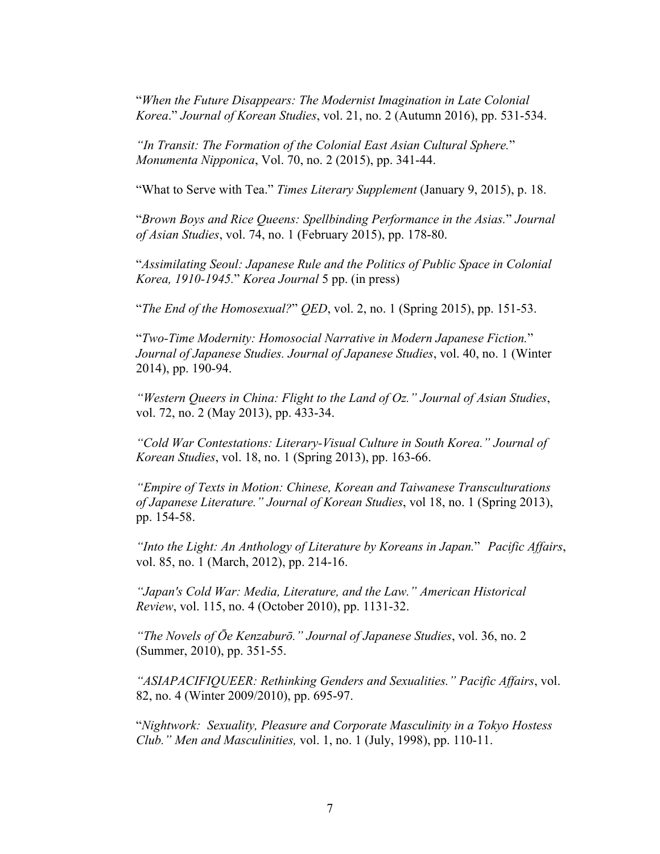"*When the Future Disappears: The Modernist Imagination in Late Colonial Korea*." *Journal of Korean Studies*, vol. 21, no. 2 (Autumn 2016), pp. 531-534.

*"In Transit: The Formation of the Colonial East Asian Cultural Sphere.*" *Monumenta Nipponica*, Vol. 70, no. 2 (2015), pp. 341-44.

"What to Serve with Tea." *Times Literary Supplement* (January 9, 2015), p. 18.

"*Brown Boys and Rice Queens: Spellbinding Performance in the Asias.*" *Journal of Asian Studies*, vol. 74, no. 1 (February 2015), pp. 178-80.

"*Assimilating Seoul: Japanese Rule and the Politics of Public Space in Colonial Korea, 1910-1945.*" *Korea Journal* 5 pp. (in press)

"*The End of the Homosexual?*" *QED*, vol. 2, no. 1 (Spring 2015), pp. 151-53.

"*Two-Time Modernity: Homosocial Narrative in Modern Japanese Fiction.*" *Journal of Japanese Studies. Journal of Japanese Studies*, vol. 40, no. 1 (Winter 2014), pp. 190-94.

*"Western Queers in China: Flight to the Land of Oz." Journal of Asian Studies*, vol. 72, no. 2 (May 2013), pp. 433-34.

*"Cold War Contestations: Literary-Visual Culture in South Korea." Journal of Korean Studies*, vol. 18, no. 1 (Spring 2013), pp. 163-66.

*"Empire of Texts in Motion: Chinese, Korean and Taiwanese Transculturations of Japanese Literature." Journal of Korean Studies*, vol 18, no. 1 (Spring 2013), pp. 154-58.

*"Into the Light: An Anthology of Literature by Koreans in Japan.*" *Pacific Affairs*, vol. 85, no. 1 (March, 2012), pp. 214-16.

*"Japan's Cold War: Media, Literature, and the Law." American Historical Review*, vol. 115, no. 4 (October 2010), pp. 1131-32.

*"The Novels of Ōe Kenzaburō." Journal of Japanese Studies*, vol. 36, no. 2 (Summer, 2010), pp. 351-55.

*"ASIAPACIFIQUEER: Rethinking Genders and Sexualities." Pacific Affairs*, vol. 82, no. 4 (Winter 2009/2010), pp. 695-97.

"*Nightwork: Sexuality, Pleasure and Corporate Masculinity in a Tokyo Hostess Club." Men and Masculinities,* vol. 1, no. 1 (July, 1998), pp. 110-11.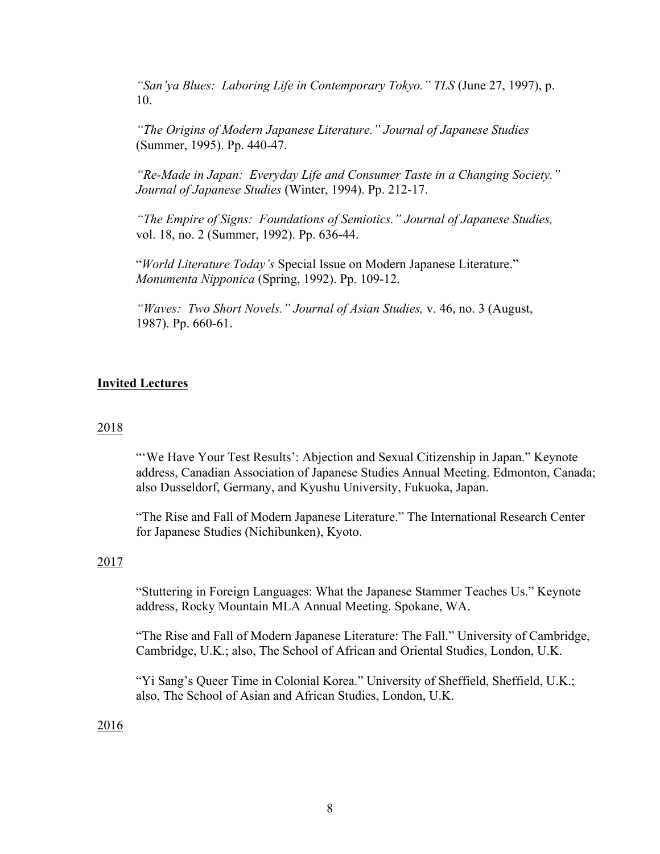*"San'ya Blues: Laboring Life in Contemporary Tokyo." TLS* (June 27, 1997), p. 10.

*"The Origins of Modern Japanese Literature." Journal of Japanese Studies*  (Summer, 1995). Pp. 440-47.

*"Re-Made in Japan: Everyday Life and Consumer Taste in a Changing Society." Journal of Japanese Studies* (Winter, 1994). Pp. 212-17.

*"The Empire of Signs: Foundations of Semiotics." Journal of Japanese Studies,*  vol. 18, no. 2 (Summer, 1992). Pp. 636-44.

"*World Literature Today's* Special Issue on Modern Japanese Literature." *Monumenta Nipponica* (Spring, 1992). Pp. 109-12.

*"Waves: Two Short Novels." Journal of Asian Studies,* v. 46, no. 3 (August, 1987). Pp. 660-61.

## **Invited Lectures**

#### 2018

"'We Have Your Test Results': Abjection and Sexual Citizenship in Japan." Keynote address, Canadian Association of Japanese Studies Annual Meeting. Edmonton, Canada; also Dusseldorf, Germany, and Kyushu University, Fukuoka, Japan.

"The Rise and Fall of Modern Japanese Literature." The International Research Center for Japanese Studies (Nichibunken), Kyoto.

### 2017

"Stuttering in Foreign Languages: What the Japanese Stammer Teaches Us." Keynote address, Rocky Mountain MLA Annual Meeting. Spokane, WA.

"The Rise and Fall of Modern Japanese Literature: The Fall." University of Cambridge, Cambridge, U.K.; also, The School of African and Oriental Studies, London, U.K.

"Yi Sang's Queer Time in Colonial Korea." University of Sheffield, Sheffield, U.K.; also, The School of Asian and African Studies, London, U.K.

2016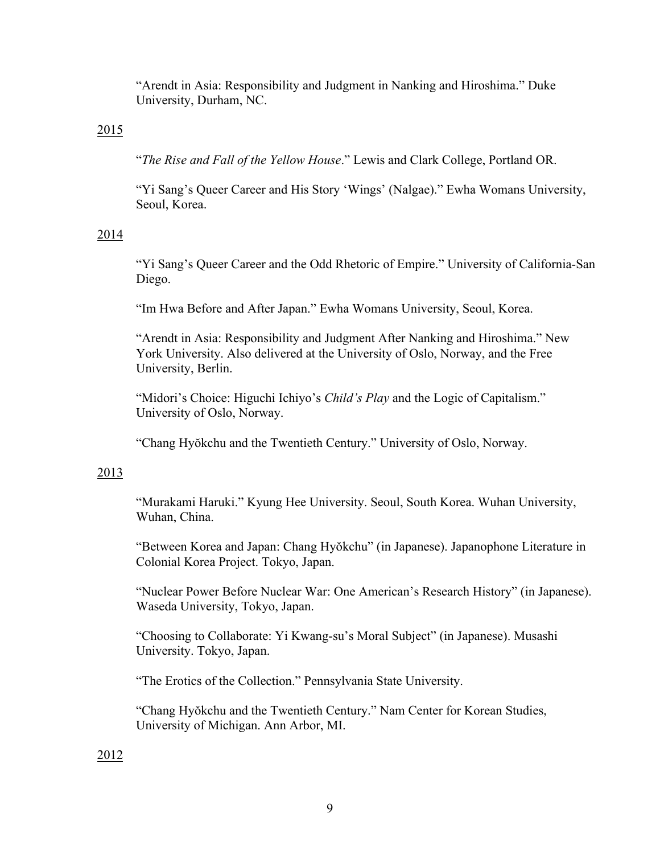"Arendt in Asia: Responsibility and Judgment in Nanking and Hiroshima." Duke University, Durham, NC.

# 2015

"*The Rise and Fall of the Yellow House*." Lewis and Clark College, Portland OR.

"Yi Sang's Queer Career and His Story 'Wings' (Nalgae)." Ewha Womans University, Seoul, Korea.

# 2014

"Yi Sang's Queer Career and the Odd Rhetoric of Empire." University of California-San Diego.

"Im Hwa Before and After Japan." Ewha Womans University, Seoul, Korea.

"Arendt in Asia: Responsibility and Judgment After Nanking and Hiroshima." New York University. Also delivered at the University of Oslo, Norway, and the Free University, Berlin.

"Midori's Choice: Higuchi Ichiyo's *Child's Play* and the Logic of Capitalism." University of Oslo, Norway.

"Chang Hyŏkchu and the Twentieth Century." University of Oslo, Norway.

# 2013

"Murakami Haruki." Kyung Hee University. Seoul, South Korea. Wuhan University, Wuhan, China.

"Between Korea and Japan: Chang Hyŏkchu" (in Japanese). Japanophone Literature in Colonial Korea Project. Tokyo, Japan.

"Nuclear Power Before Nuclear War: One American's Research History" (in Japanese). Waseda University, Tokyo, Japan.

"Choosing to Collaborate: Yi Kwang-su's Moral Subject" (in Japanese). Musashi University. Tokyo, Japan.

"The Erotics of the Collection." Pennsylvania State University.

"Chang Hyŏkchu and the Twentieth Century." Nam Center for Korean Studies, University of Michigan. Ann Arbor, MI.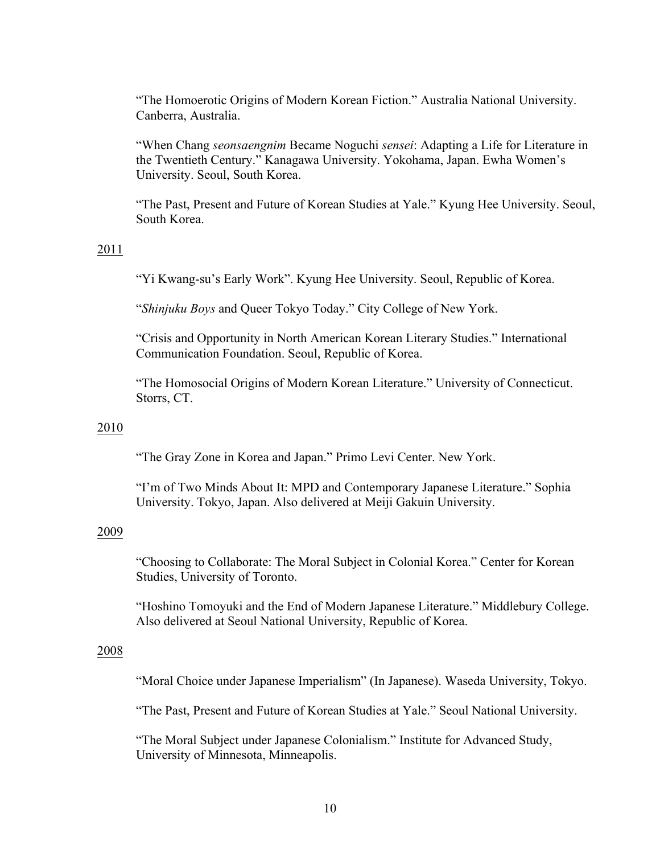"The Homoerotic Origins of Modern Korean Fiction." Australia National University. Canberra, Australia.

"When Chang *seonsaengnim* Became Noguchi *sensei*: Adapting a Life for Literature in the Twentieth Century." Kanagawa University. Yokohama, Japan. Ewha Women's University. Seoul, South Korea.

"The Past, Present and Future of Korean Studies at Yale." Kyung Hee University. Seoul, South Korea.

# 2011

"Yi Kwang-su's Early Work". Kyung Hee University. Seoul, Republic of Korea.

"*Shinjuku Boys* and Queer Tokyo Today." City College of New York.

"Crisis and Opportunity in North American Korean Literary Studies." International Communication Foundation. Seoul, Republic of Korea.

"The Homosocial Origins of Modern Korean Literature." University of Connecticut. Storrs, CT.

### 2010

"The Gray Zone in Korea and Japan." Primo Levi Center. New York.

"I'm of Two Minds About It: MPD and Contemporary Japanese Literature." Sophia University. Tokyo, Japan. Also delivered at Meiji Gakuin University.

### 2009

"Choosing to Collaborate: The Moral Subject in Colonial Korea." Center for Korean Studies, University of Toronto.

"Hoshino Tomoyuki and the End of Modern Japanese Literature." Middlebury College. Also delivered at Seoul National University, Republic of Korea.

#### 2008

"Moral Choice under Japanese Imperialism" (In Japanese). Waseda University, Tokyo.

"The Past, Present and Future of Korean Studies at Yale." Seoul National University.

"The Moral Subject under Japanese Colonialism." Institute for Advanced Study, University of Minnesota, Minneapolis.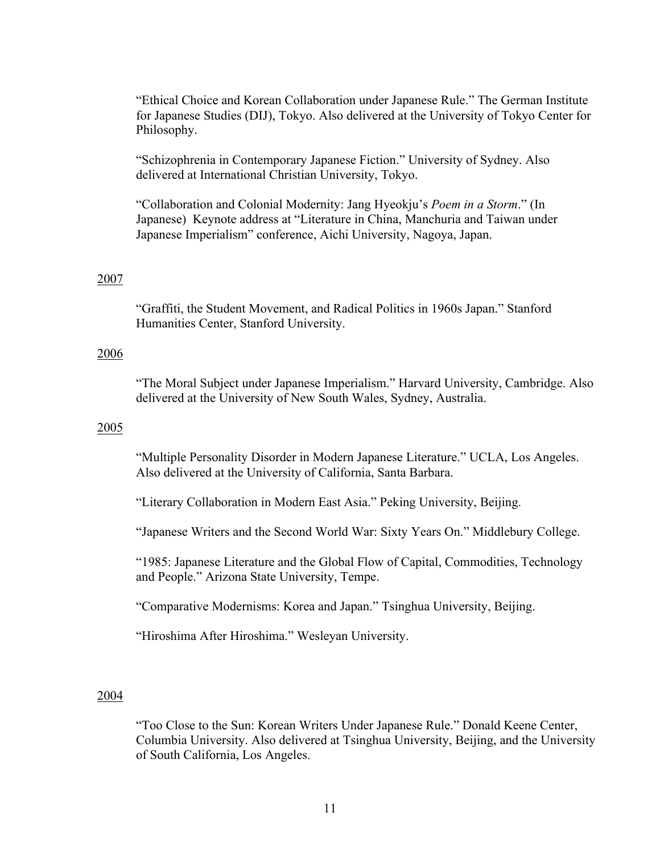"Ethical Choice and Korean Collaboration under Japanese Rule." The German Institute for Japanese Studies (DIJ), Tokyo. Also delivered at the University of Tokyo Center for Philosophy.

"Schizophrenia in Contemporary Japanese Fiction." University of Sydney. Also delivered at International Christian University, Tokyo.

"Collaboration and Colonial Modernity: Jang Hyeokju's *Poem in a Storm*." (In Japanese) Keynote address at "Literature in China, Manchuria and Taiwan under Japanese Imperialism" conference, Aichi University, Nagoya, Japan.

## 2007

"Graffiti, the Student Movement, and Radical Politics in 1960s Japan." Stanford Humanities Center, Stanford University.

### 2006

"The Moral Subject under Japanese Imperialism." Harvard University, Cambridge. Also delivered at the University of New South Wales, Sydney, Australia.

#### 2005

"Multiple Personality Disorder in Modern Japanese Literature." UCLA, Los Angeles. Also delivered at the University of California, Santa Barbara.

"Literary Collaboration in Modern East Asia." Peking University, Beijing.

"Japanese Writers and the Second World War: Sixty Years On." Middlebury College.

"1985: Japanese Literature and the Global Flow of Capital, Commodities, Technology and People." Arizona State University, Tempe.

"Comparative Modernisms: Korea and Japan." Tsinghua University, Beijing.

"Hiroshima After Hiroshima." Wesleyan University.

### 2004

"Too Close to the Sun: Korean Writers Under Japanese Rule." Donald Keene Center, Columbia University. Also delivered at Tsinghua University, Beijing, and the University of South California, Los Angeles.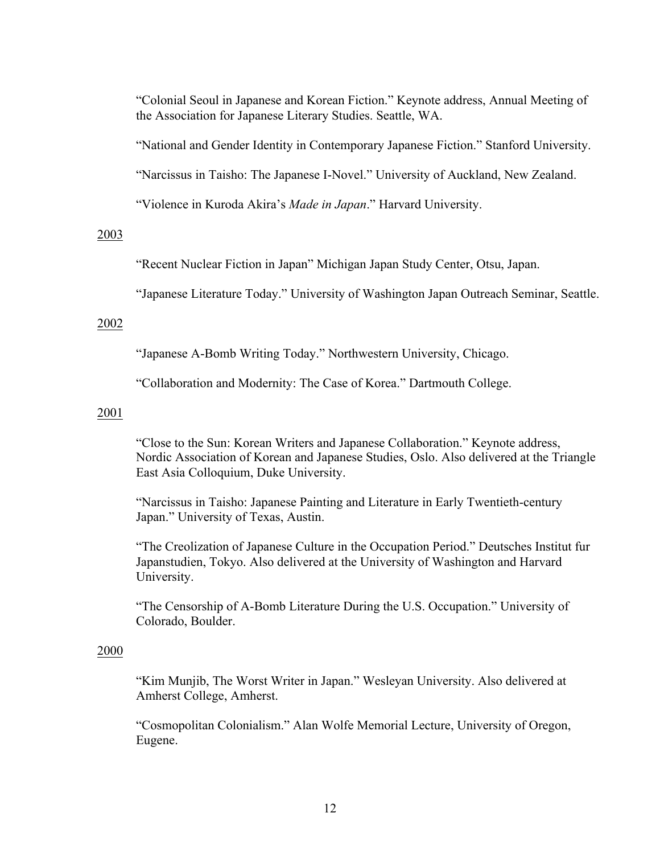"Colonial Seoul in Japanese and Korean Fiction." Keynote address, Annual Meeting of the Association for Japanese Literary Studies. Seattle, WA.

"National and Gender Identity in Contemporary Japanese Fiction." Stanford University.

"Narcissus in Taisho: The Japanese I-Novel." University of Auckland, New Zealand.

"Violence in Kuroda Akira's *Made in Japan*." Harvard University.

# 2003

"Recent Nuclear Fiction in Japan" Michigan Japan Study Center, Otsu, Japan.

"Japanese Literature Today." University of Washington Japan Outreach Seminar, Seattle.

## 2002

"Japanese A-Bomb Writing Today." Northwestern University, Chicago.

"Collaboration and Modernity: The Case of Korea." Dartmouth College.

## 2001

"Close to the Sun: Korean Writers and Japanese Collaboration." Keynote address, Nordic Association of Korean and Japanese Studies, Oslo. Also delivered at the Triangle East Asia Colloquium, Duke University.

"Narcissus in Taisho: Japanese Painting and Literature in Early Twentieth-century Japan." University of Texas, Austin.

"The Creolization of Japanese Culture in the Occupation Period." Deutsches Institut fur Japanstudien, Tokyo. Also delivered at the University of Washington and Harvard University.

"The Censorship of A-Bomb Literature During the U.S. Occupation." University of Colorado, Boulder.

## 2000

"Kim Munjib, The Worst Writer in Japan." Wesleyan University. Also delivered at Amherst College, Amherst.

"Cosmopolitan Colonialism." Alan Wolfe Memorial Lecture, University of Oregon, Eugene.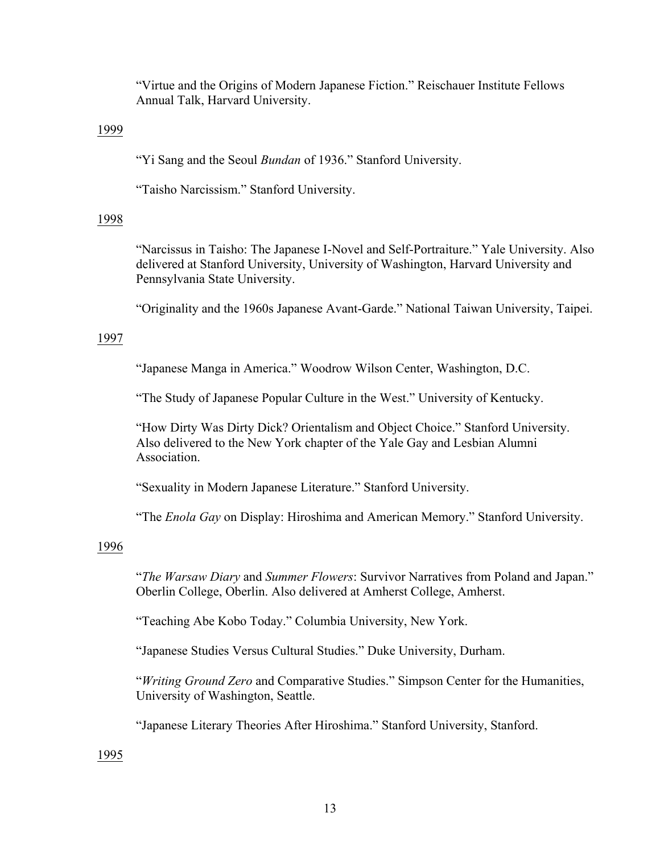"Virtue and the Origins of Modern Japanese Fiction." Reischauer Institute Fellows Annual Talk, Harvard University.

## 1999

"Yi Sang and the Seoul *Bundan* of 1936." Stanford University.

"Taisho Narcissism." Stanford University.

# 1998

"Narcissus in Taisho: The Japanese I-Novel and Self-Portraiture." Yale University. Also delivered at Stanford University, University of Washington, Harvard University and Pennsylvania State University.

"Originality and the 1960s Japanese Avant-Garde." National Taiwan University, Taipei.

# 1997

"Japanese Manga in America." Woodrow Wilson Center, Washington, D.C.

"The Study of Japanese Popular Culture in the West." University of Kentucky.

"How Dirty Was Dirty Dick? Orientalism and Object Choice." Stanford University. Also delivered to the New York chapter of the Yale Gay and Lesbian Alumni Association.

"Sexuality in Modern Japanese Literature." Stanford University.

"The *Enola Gay* on Display: Hiroshima and American Memory." Stanford University.

# 1996

"*The Warsaw Diary* and *Summer Flowers*: Survivor Narratives from Poland and Japan." Oberlin College, Oberlin. Also delivered at Amherst College, Amherst.

"Teaching Abe Kobo Today." Columbia University, New York.

"Japanese Studies Versus Cultural Studies." Duke University, Durham.

"*Writing Ground Zero* and Comparative Studies." Simpson Center for the Humanities, University of Washington, Seattle.

"Japanese Literary Theories After Hiroshima." Stanford University, Stanford.

1995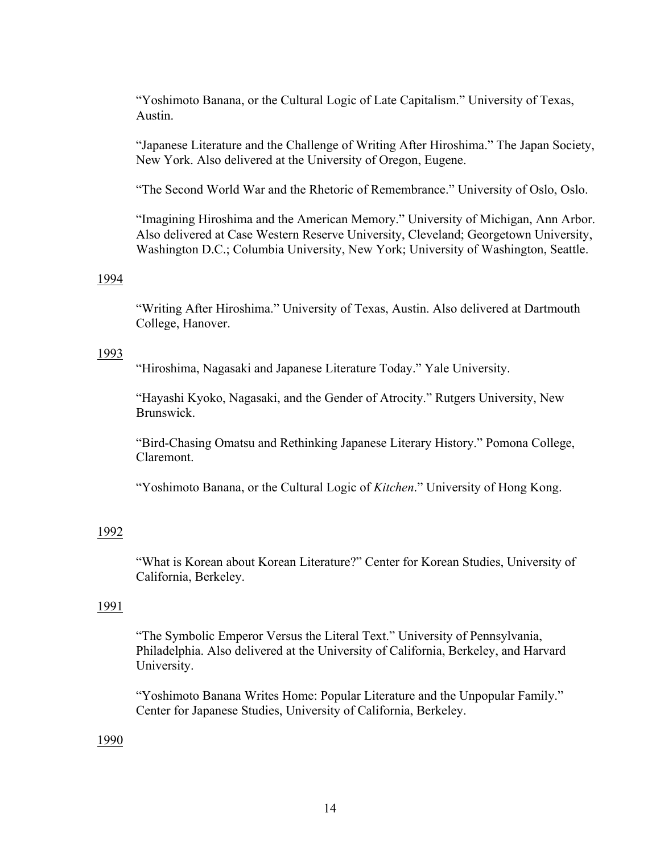"Yoshimoto Banana, or the Cultural Logic of Late Capitalism." University of Texas, Austin.

"Japanese Literature and the Challenge of Writing After Hiroshima." The Japan Society, New York. Also delivered at the University of Oregon, Eugene.

"The Second World War and the Rhetoric of Remembrance." University of Oslo, Oslo.

"Imagining Hiroshima and the American Memory." University of Michigan, Ann Arbor. Also delivered at Case Western Reserve University, Cleveland; Georgetown University, Washington D.C.; Columbia University, New York; University of Washington, Seattle.

#### 1994

"Writing After Hiroshima." University of Texas, Austin. Also delivered at Dartmouth College, Hanover.

#### 1993

"Hiroshima, Nagasaki and Japanese Literature Today." Yale University.

"Hayashi Kyoko, Nagasaki, and the Gender of Atrocity." Rutgers University, New **Brunswick** 

"Bird-Chasing Omatsu and Rethinking Japanese Literary History." Pomona College, Claremont.

"Yoshimoto Banana, or the Cultural Logic of *Kitchen*." University of Hong Kong.

## 1992

"What is Korean about Korean Literature?" Center for Korean Studies, University of California, Berkeley.

#### 1991

"The Symbolic Emperor Versus the Literal Text." University of Pennsylvania, Philadelphia. Also delivered at the University of California, Berkeley, and Harvard University.

"Yoshimoto Banana Writes Home: Popular Literature and the Unpopular Family." Center for Japanese Studies, University of California, Berkeley.

1990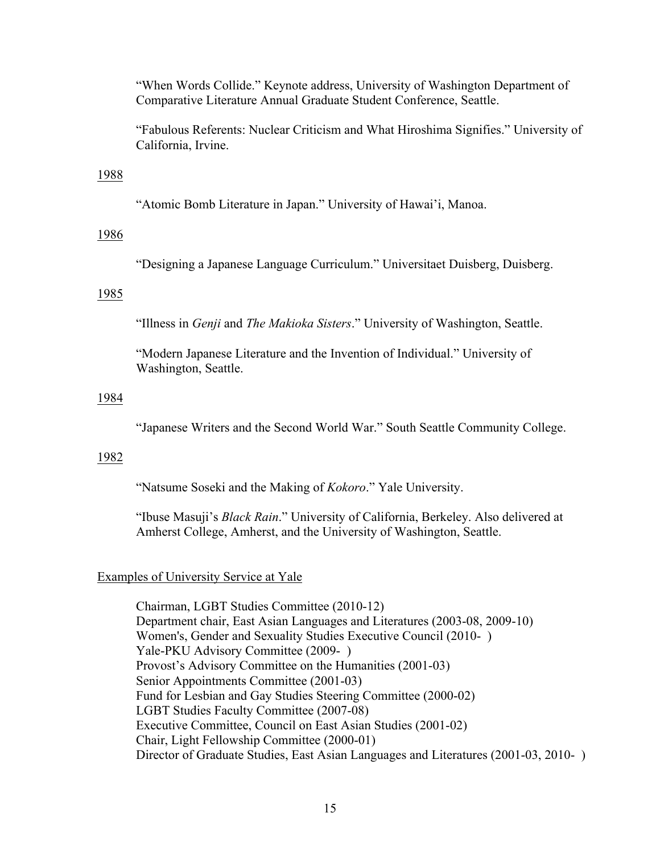"When Words Collide." Keynote address, University of Washington Department of Comparative Literature Annual Graduate Student Conference, Seattle.

"Fabulous Referents: Nuclear Criticism and What Hiroshima Signifies." University of California, Irvine.

## 1988

"Atomic Bomb Literature in Japan." University of Hawai'i, Manoa.

### 1986

"Designing a Japanese Language Curriculum." Universitaet Duisberg, Duisberg.

#### 1985

"Illness in *Genji* and *The Makioka Sisters*." University of Washington, Seattle.

"Modern Japanese Literature and the Invention of Individual." University of Washington, Seattle.

# 1984

"Japanese Writers and the Second World War." South Seattle Community College.

# 1982

"Natsume Soseki and the Making of *Kokoro*." Yale University.

"Ibuse Masuji's *Black Rain*." University of California, Berkeley. Also delivered at Amherst College, Amherst, and the University of Washington, Seattle.

### Examples of University Service at Yale

Chairman, LGBT Studies Committee (2010-12) Department chair, East Asian Languages and Literatures (2003-08, 2009-10) Women's, Gender and Sexuality Studies Executive Council (2010- ) Yale-PKU Advisory Committee (2009-) Provost's Advisory Committee on the Humanities (2001-03) Senior Appointments Committee (2001-03) Fund for Lesbian and Gay Studies Steering Committee (2000-02) LGBT Studies Faculty Committee (2007-08) Executive Committee, Council on East Asian Studies (2001-02) Chair, Light Fellowship Committee (2000-01) Director of Graduate Studies, East Asian Languages and Literatures (2001-03, 2010- )